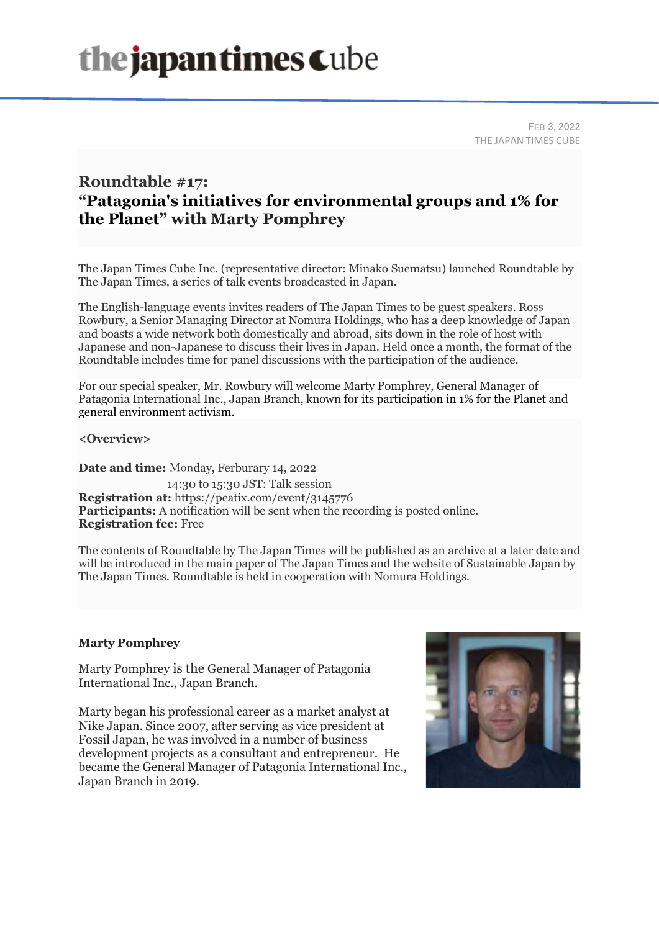# the japan times Cube

FEB 3, 2022 THE JAPAN TIMES CUBE

### **Roundtable #17: "Patagonia's initiatives for environmental groups and 1% for the Planet" with Marty Pomphrey**

The Japan Times Cube Inc. (representative director: Minako Suematsu) launched Roundtable by The Japan Times, a series of talk events broadcasted in Japan.

The English-language events invites readers of The Japan Times to be guest speakers. Ross Rowbury, a Senior Managing Director at Nomura Holdings, who has a deep knowledge of Japan and boasts a wide network both domestically and abroad, sits down in the role of host with Japanese and non-Japanese to discuss their lives in Japan. Held once a month, the format of the Roundtable includes time for panel discussions with the participation of the audience.

For our special speaker, Mr. Rowbury will welcome Marty Pomphrey, General Manager of Patagonia International Inc., Japan Branch, known for its participation in 1% for the Planet and general environment activism.

**<Overview>**

**Date and time:** Monday, Ferburary 14, 2022 14:30 to 15:30 JST: Talk session **Registration at:** https://peatix.com/event/3145776 **Participants:** A notification will be sent when the recording is posted online. **Registration fee:** Free

The contents of Roundtable by The Japan Times will be published as an archive at a later date and will be introduced in the main paper of The Japan Times and the website of Sustainable Japan by The Japan Times. Roundtable is held in cooperation with Nomura Holdings.

#### **Marty Pomphrey**

Marty Pomphrey is the General Manager of Patagonia International Inc., Japan Branch.

Marty began his professional career as a market analyst at Nike Japan. Since 2007, after serving as vice president at Fossil Japan, he was involved in a number of business development projects as a consultant and entrepreneur. He became the General Manager of Patagonia International Inc., Japan Branch in 2019.